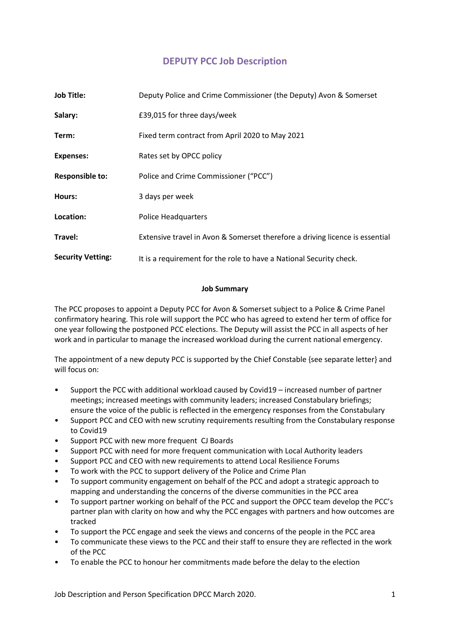# **DEPUTY PCC Job Description**

| <b>Job Title:</b>        | Deputy Police and Crime Commissioner (the Deputy) Avon & Somerset            |
|--------------------------|------------------------------------------------------------------------------|
| Salary:                  | £39,015 for three days/week                                                  |
| Term:                    | Fixed term contract from April 2020 to May 2021                              |
| <b>Expenses:</b>         | Rates set by OPCC policy                                                     |
| <b>Responsible to:</b>   | Police and Crime Commissioner ("PCC")                                        |
| Hours:                   | 3 days per week                                                              |
| Location:                | <b>Police Headquarters</b>                                                   |
| Travel:                  | Extensive travel in Avon & Somerset therefore a driving licence is essential |
| <b>Security Vetting:</b> | It is a requirement for the role to have a National Security check.          |

### **Job Summary**

The PCC proposes to appoint a Deputy PCC for Avon & Somerset subject to a Police & Crime Panel confirmatory hearing. This role will support the PCC who has agreed to extend her term of office for one year following the postponed PCC elections. The Deputy will assist the PCC in all aspects of her work and in particular to manage the increased workload during the current national emergency.

The appointment of a new deputy PCC is supported by the Chief Constable {see separate letter} and will focus on:

- Support the PCC with additional workload caused by Covid19 increased number of partner meetings; increased meetings with community leaders; increased Constabulary briefings; ensure the voice of the public is reflected in the emergency responses from the Constabulary
- Support PCC and CEO with new scrutiny requirements resulting from the Constabulary response to Covid19
- Support PCC with new more frequent CJ Boards
- Support PCC with need for more frequent communication with Local Authority leaders
- Support PCC and CEO with new requirements to attend Local Resilience Forums
- To work with the PCC to support delivery of the Police and Crime Plan
- To support community engagement on behalf of the PCC and adopt a strategic approach to mapping and understanding the concerns of the diverse communities in the PCC area
- To support partner working on behalf of the PCC and support the OPCC team develop the PCC's partner plan with clarity on how and why the PCC engages with partners and how outcomes are tracked
- To support the PCC engage and seek the views and concerns of the people in the PCC area
- To communicate these views to the PCC and their staff to ensure they are reflected in the work of the PCC
- To enable the PCC to honour her commitments made before the delay to the election

Job Description and Person Specification DPCC March 2020. 1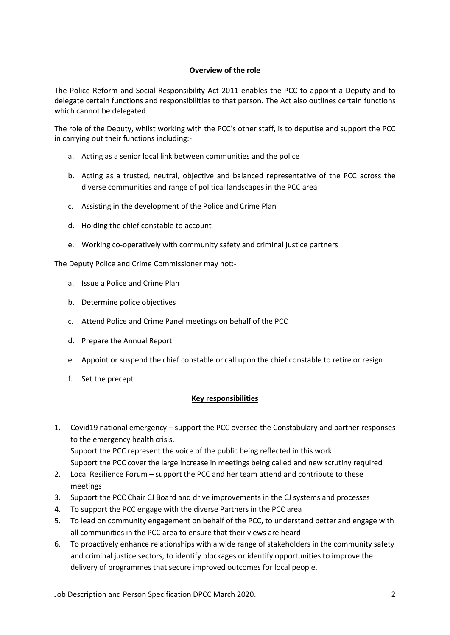# **Overview of the role**

The Police Reform and Social Responsibility Act 2011 enables the PCC to appoint a Deputy and to delegate certain functions and responsibilities to that person. The Act also outlines certain functions which cannot be delegated.

The role of the Deputy, whilst working with the PCC's other staff, is to deputise and support the PCC in carrying out their functions including:-

- a. Acting as a senior local link between communities and the police
- b. Acting as a trusted, neutral, objective and balanced representative of the PCC across the diverse communities and range of political landscapes in the PCC area
- c. Assisting in the development of the Police and Crime Plan
- d. Holding the chief constable to account
- e. Working co-operatively with community safety and criminal justice partners

The Deputy Police and Crime Commissioner may not:-

- a. Issue a Police and Crime Plan
- b. Determine police objectives
- c. Attend Police and Crime Panel meetings on behalf of the PCC
- d. Prepare the Annual Report
- e. Appoint or suspend the chief constable or call upon the chief constable to retire or resign
- f. Set the precept

# **Key responsibilities**

- 1. Covid19 national emergency support the PCC oversee the Constabulary and partner responses to the emergency health crisis. Support the PCC represent the voice of the public being reflected in this work Support the PCC cover the large increase in meetings being called and new scrutiny required
- 2. Local Resilience Forum support the PCC and her team attend and contribute to these meetings
- 3. Support the PCC Chair CJ Board and drive improvements in the CJ systems and processes
- 4. To support the PCC engage with the diverse Partners in the PCC area
- 5. To lead on community engagement on behalf of the PCC, to understand better and engage with all communities in the PCC area to ensure that their views are heard
- 6. To proactively enhance relationships with a wide range of stakeholders in the community safety and criminal justice sectors, to identify blockages or identify opportunities to improve the delivery of programmes that secure improved outcomes for local people.

Job Description and Person Specification DPCC March 2020. 2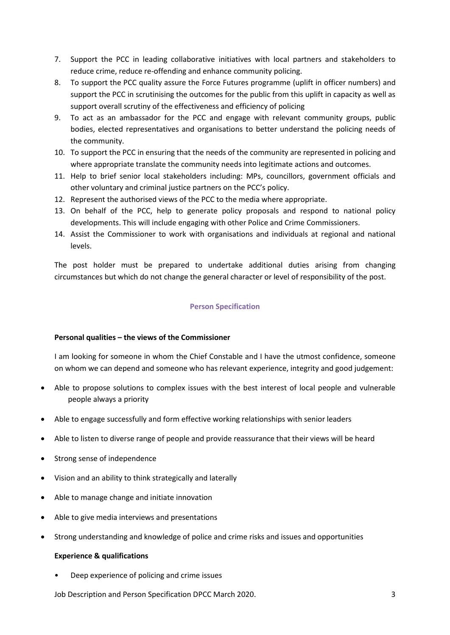- 7. Support the PCC in leading collaborative initiatives with local partners and stakeholders to reduce crime, reduce re-offending and enhance community policing.
- 8. To support the PCC quality assure the Force Futures programme (uplift in officer numbers) and support the PCC in scrutinising the outcomes for the public from this uplift in capacity as well as support overall scrutiny of the effectiveness and efficiency of policing
- 9. To act as an ambassador for the PCC and engage with relevant community groups, public bodies, elected representatives and organisations to better understand the policing needs of the community.
- 10. To support the PCC in ensuring that the needs of the community are represented in policing and where appropriate translate the community needs into legitimate actions and outcomes.
- 11. Help to brief senior local stakeholders including: MPs, councillors, government officials and other voluntary and criminal justice partners on the PCC's policy.
- 12. Represent the authorised views of the PCC to the media where appropriate.
- 13. On behalf of the PCC, help to generate policy proposals and respond to national policy developments. This will include engaging with other Police and Crime Commissioners.
- 14. Assist the Commissioner to work with organisations and individuals at regional and national levels.

The post holder must be prepared to undertake additional duties arising from changing circumstances but which do not change the general character or level of responsibility of the post.

# **Person Specification**

# **Personal qualities – the views of the Commissioner**

I am looking for someone in whom the Chief Constable and I have the utmost confidence, someone on whom we can depend and someone who has relevant experience, integrity and good judgement:

- Able to propose solutions to complex issues with the best interest of local people and vulnerable people always a priority
- Able to engage successfully and form effective working relationships with senior leaders
- Able to listen to diverse range of people and provide reassurance that their views will be heard
- Strong sense of independence
- Vision and an ability to think strategically and laterally
- Able to manage change and initiate innovation
- Able to give media interviews and presentations
- Strong understanding and knowledge of police and crime risks and issues and opportunities

# **Experience & qualifications**

• Deep experience of policing and crime issues

Job Description and Person Specification DPCC March 2020. 3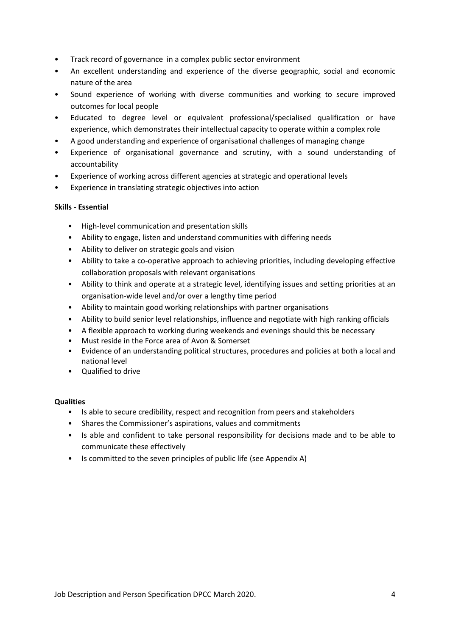- Track record of governance in a complex public sector environment
- An excellent understanding and experience of the diverse geographic, social and economic nature of the area
- Sound experience of working with diverse communities and working to secure improved outcomes for local people
- Educated to degree level or equivalent professional/specialised qualification or have experience, which demonstrates their intellectual capacity to operate within a complex role
- A good understanding and experience of organisational challenges of managing change
- Experience of organisational governance and scrutiny, with a sound understanding of accountability
- Experience of working across different agencies at strategic and operational levels
- Experience in translating strategic objectives into action

# **Skills - Essential**

- High-level communication and presentation skills
- Ability to engage, listen and understand communities with differing needs
- Ability to deliver on strategic goals and vision
- Ability to take a co-operative approach to achieving priorities, including developing effective collaboration proposals with relevant organisations
- Ability to think and operate at a strategic level, identifying issues and setting priorities at an organisation-wide level and/or over a lengthy time period
- Ability to maintain good working relationships with partner organisations
- Ability to build senior level relationships, influence and negotiate with high ranking officials
- A flexible approach to working during weekends and evenings should this be necessary
- Must reside in the Force area of Avon & Somerset
- Evidence of an understanding political structures, procedures and policies at both a local and national level
- Qualified to drive

# **Qualities**

- Is able to secure credibility, respect and recognition from peers and stakeholders
- Shares the Commissioner's aspirations, values and commitments
- Is able and confident to take personal responsibility for decisions made and to be able to communicate these effectively
- Is committed to the seven principles of public life (see Appendix A)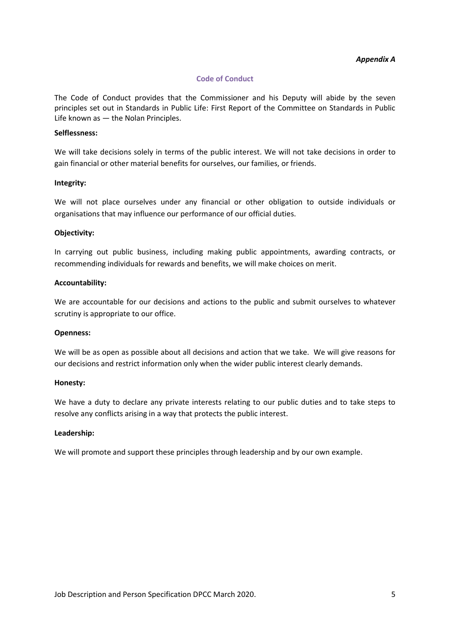# *Appendix A*

# **Code of Conduct**

The Code of Conduct provides that the Commissioner and his Deputy will abide by the seven principles set out in Standards in Public Life: First Report of the Committee on Standards in Public Life known as ― the Nolan Principles.

### **Selflessness:**

We will take decisions solely in terms of the public interest. We will not take decisions in order to gain financial or other material benefits for ourselves, our families, or friends.

### **Integrity:**

We will not place ourselves under any financial or other obligation to outside individuals or organisations that may influence our performance of our official duties.

### **Objectivity:**

In carrying out public business, including making public appointments, awarding contracts, or recommending individuals for rewards and benefits, we will make choices on merit.

### **Accountability:**

We are accountable for our decisions and actions to the public and submit ourselves to whatever scrutiny is appropriate to our office.

#### **Openness:**

We will be as open as possible about all decisions and action that we take. We will give reasons for our decisions and restrict information only when the wider public interest clearly demands.

#### **Honesty:**

We have a duty to declare any private interests relating to our public duties and to take steps to resolve any conflicts arising in a way that protects the public interest.

#### **Leadership:**

We will promote and support these principles through leadership and by our own example.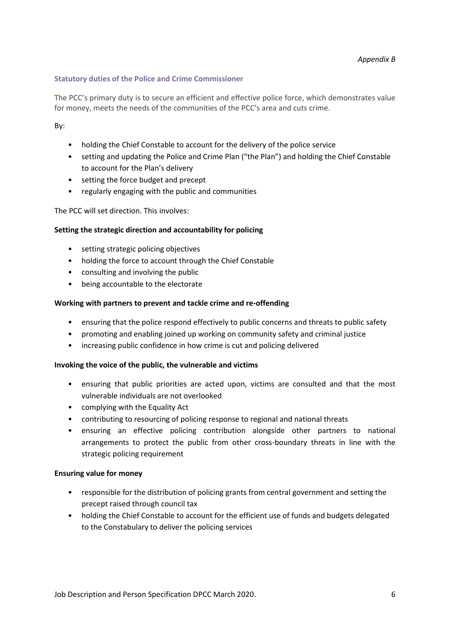# **Statutory duties of the Police and Crime Commissioner**

The PCC's primary duty is to secure an efficient and effective police force, which demonstrates value for money, meets the needs of the communities of the PCC's area and cuts crime.

By:

- holding the Chief Constable to account for the delivery of the police service
- setting and updating the Police and Crime Plan ("the Plan") and holding the Chief Constable to account for the Plan's delivery
- setting the force budget and precept
- regularly engaging with the public and communities

The PCC will set direction. This involves:

# **Setting the strategic direction and accountability for policing**

- setting strategic policing objectives
- holding the force to account through the Chief Constable
- consulting and involving the public
- being accountable to the electorate

### **Working with partners to prevent and tackle crime and re-offending**

- ensuring that the police respond effectively to public concerns and threats to public safety
- promoting and enabling joined up working on community safety and criminal justice
- increasing public confidence in how crime is cut and policing delivered

# **Invoking the voice of the public, the vulnerable and victims**

- ensuring that public priorities are acted upon, victims are consulted and that the most vulnerable individuals are not overlooked
- complying with the Equality Act
- contributing to resourcing of policing response to regional and national threats
- ensuring an effective policing contribution alongside other partners to national arrangements to protect the public from other cross-boundary threats in line with the strategic policing requirement

# **Ensuring value for money**

- responsible for the distribution of policing grants from central government and setting the precept raised through council tax
- holding the Chief Constable to account for the efficient use of funds and budgets delegated to the Constabulary to deliver the policing services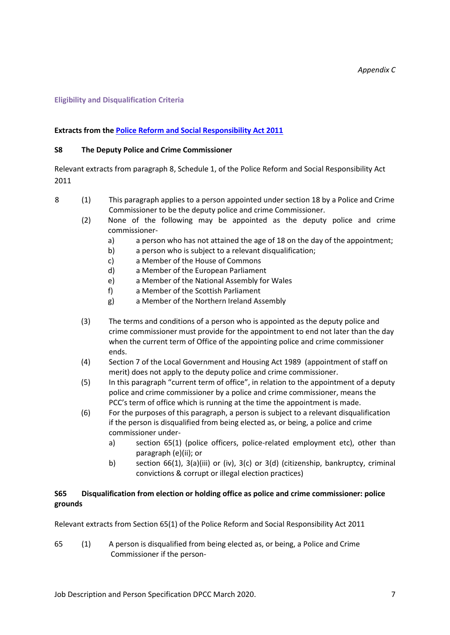# **Eligibility and Disqualification Criteria**

# **Extracts from the [Police Reform and Social Responsibility Act 2011](http://www.legislation.gov.uk/ukpga/2011/13/contents/enacted)**

# **S8 The Deputy Police and Crime Commissioner**

Relevant extracts from paragraph 8, Schedule 1, of the Police Reform and Social Responsibility Act 2011

- 8 (1) This paragraph applies to a person appointed under section 18 by a Police and Crime Commissioner to be the deputy police and crime Commissioner.
	- (2) None of the following may be appointed as the deputy police and crime commissioner
		- a) a person who has not attained the age of 18 on the day of the appointment;
		- b) a person who is subject to a relevant disqualification;
		- c) a Member of the House of Commons
		- d) a Member of the European Parliament
		- e) a Member of the National Assembly for Wales
		- f) a Member of the Scottish Parliament
		- g) a Member of the Northern Ireland Assembly
	- (3) The terms and conditions of a person who is appointed as the deputy police and crime commissioner must provide for the appointment to end not later than the day when the current term of Office of the appointing police and crime commissioner ends.
	- (4) Section 7 of the Local Government and Housing Act 1989 (appointment of staff on merit) does not apply to the deputy police and crime commissioner.
	- (5) In this paragraph "current term of office", in relation to the appointment of a deputy police and crime commissioner by a police and crime commissioner, means the PCC's term of office which is running at the time the appointment is made.
	- (6) For the purposes of this paragraph, a person is subject to a relevant disqualification if the person is disqualified from being elected as, or being, a police and crime commissioner under
		- a) section 65(1) (police officers, police-related employment etc), other than paragraph (e)(ii); or
		- b) section 66(1), 3(a)(iii) or (iv), 3(c) or 3(d) (citizenship, bankruptcy, criminal convictions & corrupt or illegal election practices)

# **S65 Disqualification from election or holding office as police and crime commissioner: police grounds**

Relevant extracts from Section 65(1) of the Police Reform and Social Responsibility Act 2011

65 (1) A person is disqualified from being elected as, or being, a Police and Crime Commissioner if the person-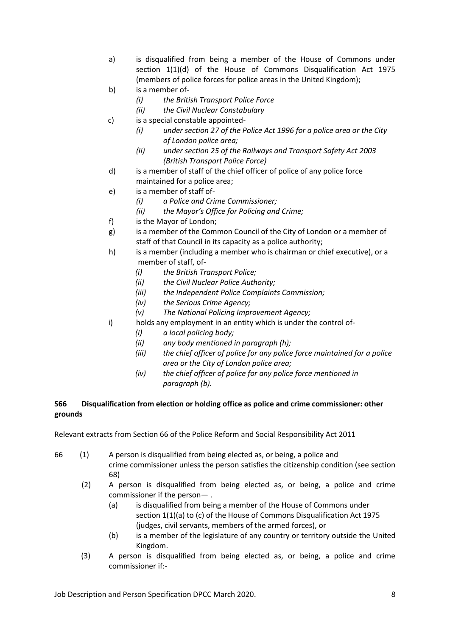- a) is disqualified from being a member of the House of Commons under section 1(1)(d) of the House of Commons Disqualification Act 1975 (members of police forces for police areas in the United Kingdom);
- b) is a member of-
	- *(i) the British Transport Police Force*
	- *(ii) the Civil Nuclear Constabulary*
- c) is a special constable appointed-
	- *(i) under section 27 of the Police Act 1996 for a police area or the City of London police area;*
	- *(ii) under section 25 of the Railways and Transport Safety Act 2003 (British Transport Police Force)*
- d) is a member of staff of the chief officer of police of any police force maintained for a police area;
- e) is a member of staff of-
	- *(i) a Police and Crime Commissioner;*
	- *(ii) the Mayor's Office for Policing and Crime;*
- f) is the Mayor of London;
- g) is a member of the Common Council of the City of London or a member of staff of that Council in its capacity as a police authority;
- h) is a member (including a member who is chairman or chief executive), or a member of staff, of-
	- *(i) the British Transport Police;*
	- *(ii) the Civil Nuclear Police Authority;*
	- *(iii) the Independent Police Complaints Commission;*
	- *(iv) the Serious Crime Agency;*
	- *(v) The National Policing Improvement Agency;*
- i) holds any employment in an entity which is under the control of-
	- *(i) a local policing body;*
	- *(ii) any body mentioned in paragraph (h);*
	- *(iii) the chief officer of police for any police force maintained for a police area or the City of London police area;*
	- *(iv) the chief officer of police for any police force mentioned in paragraph (b).*

# **S66 Disqualification from election or holding office as police and crime commissioner: other grounds**

Relevant extracts from Section 66 of the Police Reform and Social Responsibility Act 2011

- 66 (1) A person is disqualified from being elected as, or being, a police and crime commissioner unless the person satisfies the citizenship condition (see section 68)
	- (2) A person is disqualified from being elected as, or being, a police and crime commissioner if the person— .
		- (a) is disqualified from being a member of the House of Commons under section 1(1)(a) to (c) of the House of Commons Disqualification Act 1975 (judges, civil servants, members of the armed forces), or
		- (b) is a member of the legislature of any country or territory outside the United Kingdom.
	- (3) A person is disqualified from being elected as, or being, a police and crime commissioner if:-